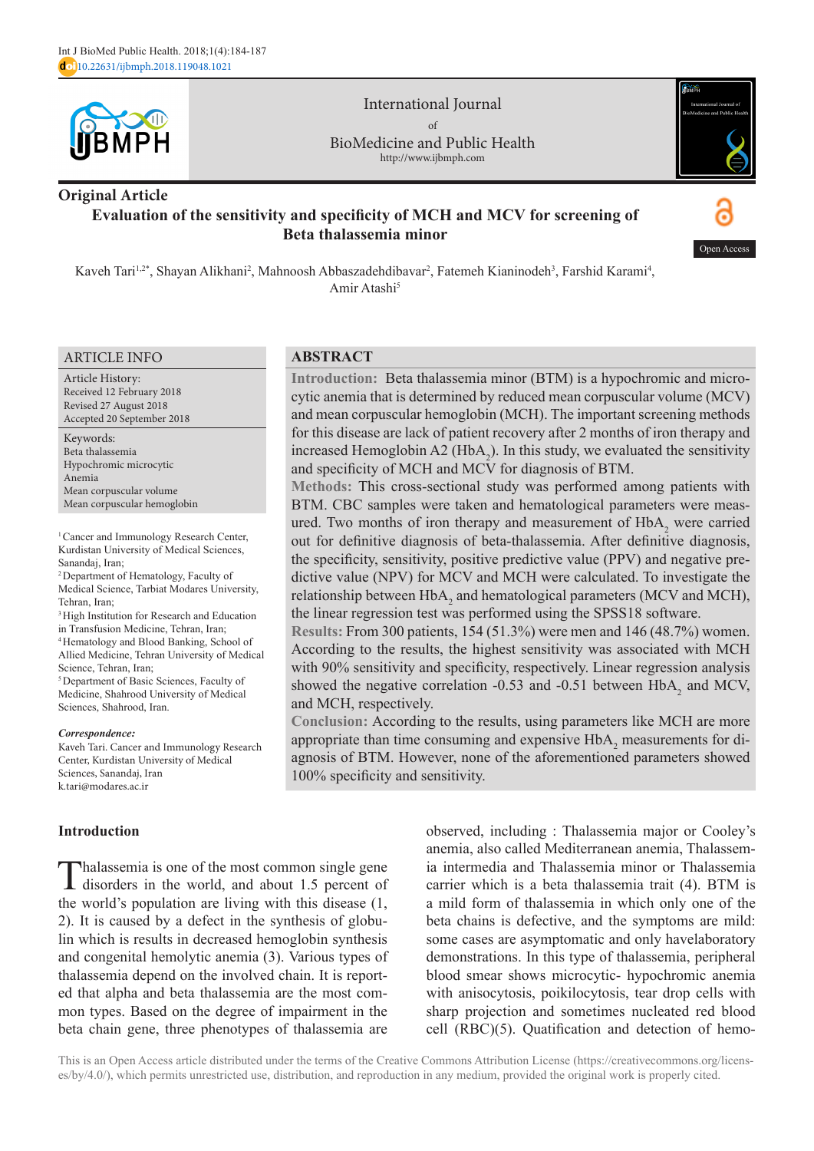

International Journal of BioMedicine and Public Health http://www.ijbmph.com



# **Original Article Evaluation of the sensitivity and specificity of MCH and MCV for screening of Beta thalassemia minor**

Open Acces

Kaveh Tari<sup>1,2\*</sup>, Shayan Alikhani<sup>2</sup>, Mahnoosh Abbaszadehdibavar<sup>2</sup>, Fatemeh Kianinodeh<sup>3</sup>, Farshid Karami<sup>4</sup>, Amir Atashi<sup>5</sup>

#### ARTICLE INFO

Article History: Received 12 February 2018 Revised 27 August 2018 Accepted 20 September 2018

Keywords: Beta thalassemia Hypochromic microcytic Anemia Mean corpuscular volume Mean corpuscular hemoglobin

<sup>1</sup> Cancer and Immunology Research Center, Kurdistan University of Medical Sciences, Sanandaj, Iran;

2 Department of Hematology, Faculty of Medical Science, Tarbiat Modares University, Tehran, Iran;

<sup>3</sup> High Institution for Research and Education

in Transfusion Medicine, Tehran, Iran;

4 Hematology and Blood Banking, School of Allied Medicine, Tehran University of Medical Science, Tehran, Iran;

5 Department of Basic Sciences, Faculty of Medicine, Shahrood University of Medical Sciences, Shahrood, Iran.

#### *Correspondence:*

Kaveh Tari. Cancer and Immunology Research Center, Kurdistan University of Medical Sciences, Sanandaj, Iran k.tari@modares.ac.ir

### **Introduction**

Thalassemia is one of the most common single gene disorders in the world, and about 1.5 percent of the world's population are living with this disease (1, 2). It is caused by a defect in the synthesis of globulin which is results in decreased hemoglobin synthesis and congenital hemolytic anemia (3). Various types of thalassemia depend on the involved chain. It is reported that alpha and beta thalassemia are the most common types. Based on the degree of impairment in the beta chain gene, three phenotypes of thalassemia are

## **ABSTRACT**

**Introduction:** Beta thalassemia minor (BTM) is a hypochromic and microcytic anemia that is determined by reduced mean corpuscular volume (MCV) and mean corpuscular hemoglobin (MCH). The important screening methods for this disease are lack of patient recovery after 2 months of iron therapy and increased Hemoglobin A2 ( $HbA_2$ ). In this study, we evaluated the sensitivity and specificity of MCH and MCV for diagnosis of BTM.

**Methods:** This cross-sectional study was performed among patients with BTM. CBC samples were taken and hematological parameters were measured. Two months of iron therapy and measurement of  $HbA<sub>2</sub>$  were carried out for definitive diagnosis of beta-thalassemia. After definitive diagnosis, the specificity, sensitivity, positive predictive value (PPV) and negative predictive value (NPV) for MCV and MCH were calculated. To investigate the relationship between  $HbA_2$  and hematological parameters (MCV and MCH), the linear regression test was performed using the SPSS18 software.

**Results:** From 300 patients, 154 (51.3%) were men and 146 (48.7%) women. According to the results, the highest sensitivity was associated with MCH with 90% sensitivity and specificity, respectively. Linear regression analysis showed the negative correlation -0.53 and -0.51 between  $HbA_2$  and MCV, and MCH, respectively.

**Conclusion:** According to the results, using parameters like MCH are more appropriate than time consuming and expensive  $HbA_2$  measurements for diagnosis of BTM. However, none of the aforementioned parameters showed 100% specificity and sensitivity.

> observed, including : Thalassemia major or Cooley's anemia, also called Mediterranean anemia, Thalassemia intermedia and Thalassemia minor or Thalassemia carrier which is a beta thalassemia trait (4). BTM is a mild form of thalassemia in which only one of the beta chains is defective, and the symptoms are mild: some cases are asymptomatic and only havelaboratory demonstrations. In this type of thalassemia, peripheral blood smear shows microcytic- hypochromic anemia with anisocytosis, poikilocytosis, tear drop cells with sharp projection and sometimes nucleated red blood cell (RBC)(5). Quatification and detection of hemo-

This is an Open Access article distributed under the terms of the Creative Commons Attribution License (https://creativecommons.org/licenses/by/4.0/), which permits unrestricted use, distribution, and reproduction in any medium, provided the original work is properly cited.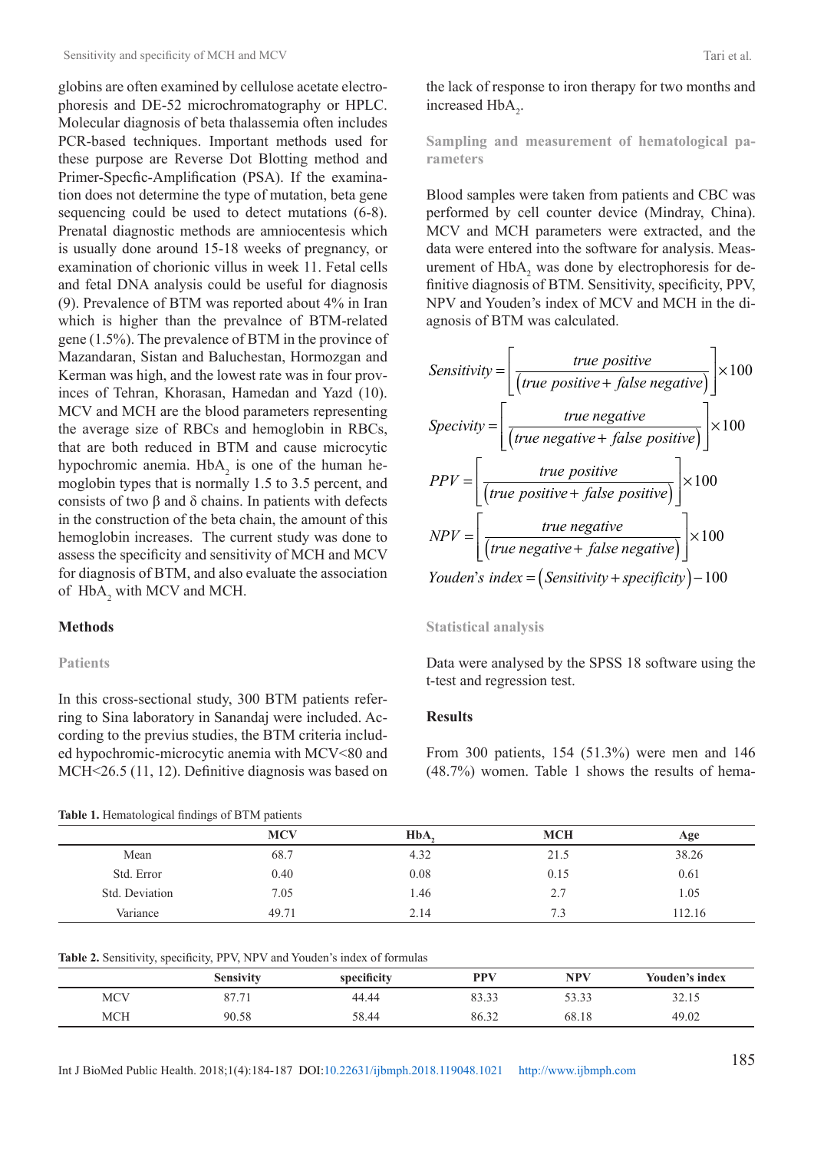globins are often examined by cellulose acetate electrophoresis and DE-52 microchromatography or HPLC. Molecular diagnosis of beta thalassemia often includes PCR-based techniques. Important methods used for these purpose are Reverse Dot Blotting method and Primer-Specfic-Amplification (PSA). If the examination does not determine the type of mutation, beta gene sequencing could be used to detect mutations (6-8). Prenatal diagnostic methods are amniocentesis which is usually done around 15-18 weeks of pregnancy, or examination of chorionic villus in week 11. Fetal cells and fetal DNA analysis could be useful for diagnosis (9). Prevalence of BTM was reported about 4% in Iran which is higher than the prevalnce of BTM-related gene (1.5%). The prevalence of BTM in the province of Mazandaran, Sistan and Baluchestan, Hormozgan and Kerman was high, and the lowest rate was in four provinces of Tehran, Khorasan, Hamedan and Yazd (10). MCV and MCH are the blood parameters representing the average size of RBCs and hemoglobin in RBCs, that are both reduced in BTM and cause microcytic hypochromic anemia.  $HbA_2$  is one of the human hemoglobin types that is normally 1.5 to 3.5 percent, and consists of two β and δ chains. In patients with defects in the construction of the beta chain, the amount of this hemoglobin increases. The current study was done to assess the specificity and sensitivity of MCH and MCV for diagnosis of BTM, and also evaluate the association of  $HbA_2$  with MCV and MCH.

## **Methods**

### **Patients**

In this cross-sectional study, 300 BTM patients referring to Sina laboratory in Sanandaj were included. According to the previus studies, the BTM criteria included hypochromic-microcytic anemia with MCV<80 and MCH<26.5 (11, 12). Definitive diagnosis was based on

#### **Table 1.** Hematological findings of BTM patients

|                | <b>MCV</b> | HbA. | <b>MCH</b> | Age    |
|----------------|------------|------|------------|--------|
| Mean           | 68.7       | 4.32 | 21.5       | 38.26  |
| Std. Error     | 0.40       | 0.08 | 0.15       | 0.61   |
| Std. Deviation | 7.05       | 1.46 | 2.7        | 1.05   |
| Variance       | 49.71      | 2.14 | 7.3        | 112.16 |

the lack of response to iron therapy for two months and increased  $HbA_2$ .

**Sampling and measurement of hematological parameters**

Blood samples were taken from patients and CBC was performed by cell counter device (Mindray, China). MCV and MCH parameters were extracted, and the data were entered into the software for analysis. Measurement of  $HbA_2$  was done by electrophoresis for definitive diagnosis of BTM. Sensitivity, specificity, PPV, NPV and Youden's index of MCV and MCH in the diagnosis of BTM was calculated.

Sensitivity = 
$$
\left[ \frac{true \ positive}{(true \ positive + false \ negative)} \right] \times 100
$$

\nSpecificity = 
$$
\left[ \frac{true \ negative}{(true \ negative + false \ positive)} \right] \times 100
$$

\nPPV = 
$$
\left[ \frac{true \ positive}{(true \ positive + false \ positive)} \right] \times 100
$$

\nNPV = 
$$
\left[ \frac{true \ negative}{(true \ negative + false \ negative)} \right] \times 100
$$

\nYouden's index = (Sensitivity + specificity) - 100

#### **Statistical analysis**

Data were analysed by the SPSS 18 software using the t-test and regression test.

#### **Results**

From 300 patients, 154 (51.3%) were men and 146 (48.7%) women. Table 1 shows the results of hema-

|            | Sensivity                     | specificity | PPV   | <b>NPV</b> | Youden's index |
|------------|-------------------------------|-------------|-------|------------|----------------|
| <b>MCV</b> | O <sub>7</sub><br>71<br>01.11 | 44.44       | 83.33 | 53.33      | 32.15          |
| <b>MCH</b> | 90.58                         | 58.44       | 86.32 | 68.18      | 49.02          |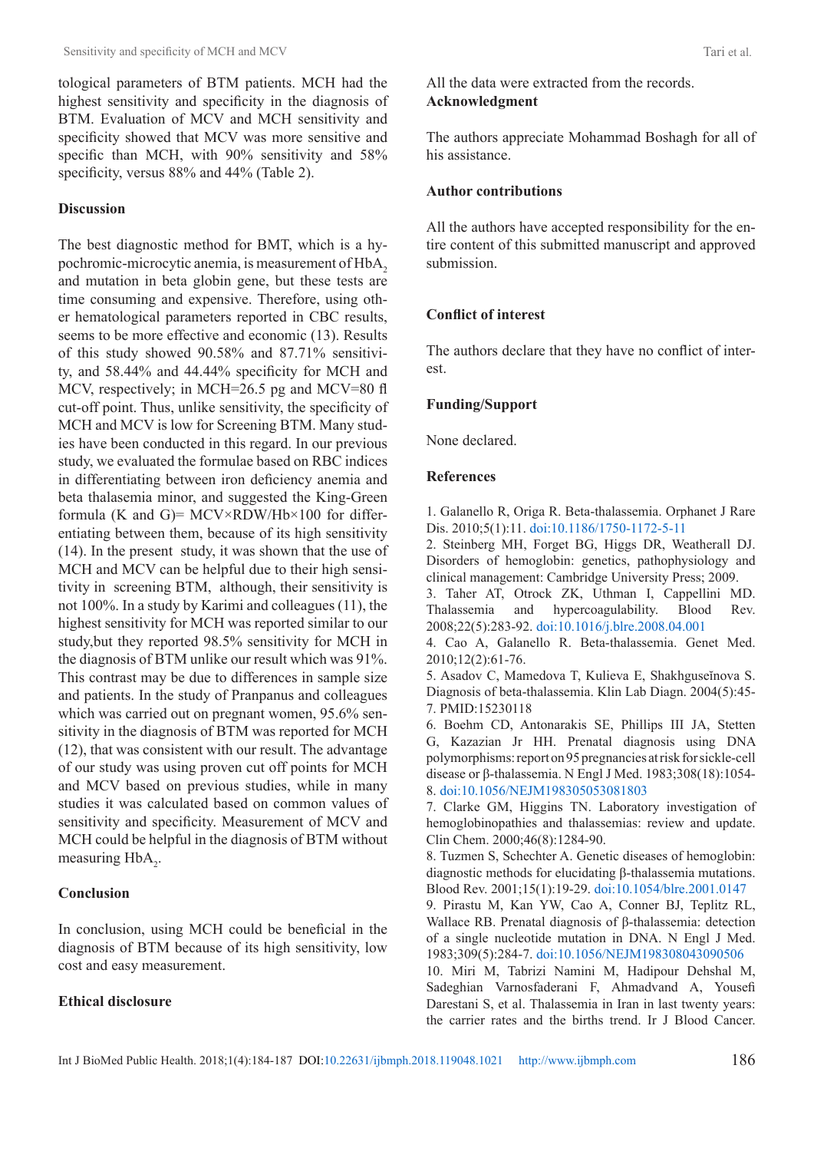tological parameters of BTM patients. MCH had the highest sensitivity and specificity in the diagnosis of BTM. Evaluation of MCV and MCH sensitivity and specificity showed that MCV was more sensitive and specific than MCH, with 90% sensitivity and 58% specificity, versus  $88\%$  and  $44\%$  (Table 2).

### **Discussion**

The best diagnostic method for BMT, which is a hypochromic-microcytic anemia, is measurement of HbA<sub>2</sub> and mutation in beta globin gene, but these tests are time consuming and expensive. Therefore, using other hematological parameters reported in CBC results, seems to be more effective and economic (13). Results of this study showed 90.58% and 87.71% sensitivity, and 58.44% and 44.44% specificity for MCH and MCV, respectively; in MCH=26.5 pg and MCV=80 fl cut-off point. Thus, unlike sensitivity, the specificity of MCH and MCV is low for Screening BTM. Many studies have been conducted in this regard. In our previous study, we evaluated the formulae based on RBC indices in differentiating between iron deficiency anemia and beta thalasemia minor, and suggested the King-Green formula (K and G)=  $MCV \times RDW / Hb \times 100$  for differentiating between them, because of its high sensitivity (14). In the present study, it was shown that the use of MCH and MCV can be helpful due to their high sensitivity in screening BTM, although, their sensitivity is not 100%. In a study by Karimi and colleagues (11), the highest sensitivity for MCH was reported similar to our study,but they reported 98.5% sensitivity for MCH in the diagnosis of BTM unlike our result which was 91%. This contrast may be due to differences in sample size and patients. In the study of Pranpanus and colleagues which was carried out on pregnant women, 95.6% sensitivity in the diagnosis of BTM was reported for MCH (12), that was consistent with our result. The advantage of our study was using proven cut off points for MCH and MCV based on previous studies, while in many studies it was calculated based on common values of sensitivity and specificity. Measurement of MCV and MCH could be helpful in the diagnosis of BTM without measuring  $HbA_2$ .

### **Conclusion**

In conclusion, using MCH could be beneficial in the diagnosis of BTM because of its high sensitivity, low cost and easy measurement.

### **Ethical disclosure**

All the data were extracted from the records. **Acknowledgment**

The authors appreciate Mohammad Boshagh for all of his assistance.

### **Author contributions**

All the authors have accepted responsibility for the entire content of this submitted manuscript and approved submission.

### **Conflict of interest**

The authors declare that they have no conflict of interest.

### **Funding/Support**

None declared.

### **References**

1. Galanello R, Origa R. Beta-thalassemia. Orphanet J Rare Dis. 2010;5(1):11. [doi:10.1186/1750-1172-5-11](https://ojrd.biomedcentral.com/articles/10.1186/1750-1172-5-11)

2. Steinberg MH, Forget BG, Higgs DR, Weatherall DJ. Disorders of hemoglobin: genetics, pathophysiology and clinical management: Cambridge University Press; 2009.

3. Taher AT, Otrock ZK, Uthman I, Cappellini MD. Thalassemia and hypercoagulability. Blood Rev. 2008;22(5):283-92. [doi:10.1016/j.blre.2008.04.001](https://www.sciencedirect.com/science/article/pii/S0268960X08000362)

4. Cao A, Galanello R. Beta-thalassemia. Genet Med. 2010;12(2):61-76.

5. Asadov C, Mamedova T, Kulieva E, Shakhguseĭnova S. Diagnosis of beta-thalassemia. Klin Lab Diagn. 2004(5):45- 7. [PMID:15230118](https://europepmc.org/abstract/med/15230118)

6. Boehm CD, Antonarakis SE, Phillips III JA, Stetten G, Kazazian Jr HH. Prenatal diagnosis using DNA polymorphisms: report on 95 pregnancies at risk for sickle-cell disease or β-thalassemia. N Engl J Med. 1983;308(18):1054- 8. [doi:10.1056/NEJM198305053081803](https://www.nejm.org/doi/full/10.1056/nejm198305053081803)

7. Clarke GM, Higgins TN. Laboratory investigation of hemoglobinopathies and thalassemias: review and update. Clin Chem. 2000;46(8):1284-90.

8. Tuzmen S, Schechter A. Genetic diseases of hemoglobin: diagnostic methods for elucidating β-thalassemia mutations. Blood Rev. 2001;15(1):19-29. [doi:10.1054/blre.2001.0147](https://www.sciencedirect.com/science/article/pii/S0268960X0190147X)

9. Pirastu M, Kan YW, Cao A, Conner BJ, Teplitz RL, Wallace RB. Prenatal diagnosis of β-thalassemia: detection of a single nucleotide mutation in DNA. N Engl J Med. 1983;309(5):284-7. [doi:10.1056/NEJM198308043090506](https://www.nejm.org/doi/full/10.1056/NEJM198308043090506)

10. Miri M, Tabrizi Namini M, Hadipour Dehshal M, Sadeghian Varnosfaderani F, Ahmadvand A, Yousefi Darestani S, et al. Thalassemia in Iran in last twenty years: the carrier rates and the births trend. Ir J Blood Cancer.